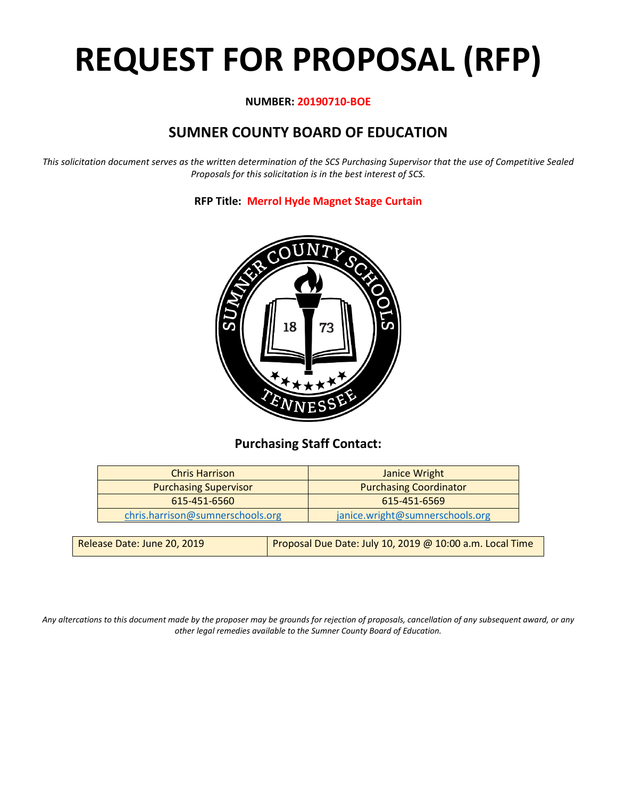# **REQUEST FOR PROPOSAL (RFP)**

# **NUMBER: 20190710-BOE**

# **SUMNER COUNTY BOARD OF EDUCATION**

*This solicitation document serves as the written determination of the SCS Purchasing Supervisor that the use of Competitive Sealed Proposals for this solicitation is in the best interest of SCS.*

**RFP Title: Merrol Hyde Magnet Stage Curtain**



# **Purchasing Staff Contact:**

| <b>Chris Harrison</b>            | Janice Wright                   |
|----------------------------------|---------------------------------|
| <b>Purchasing Supervisor</b>     | <b>Purchasing Coordinator</b>   |
| 615-451-6560                     | 615-451-6569                    |
| chris.harrison@sumnerschools.org | janice.wright@sumnerschools.org |
|                                  |                                 |

*Any altercations to this document made by the proposer may be grounds for rejection of proposals, cancellation of any subsequent award, or any other legal remedies available to the Sumner County Board of Education.*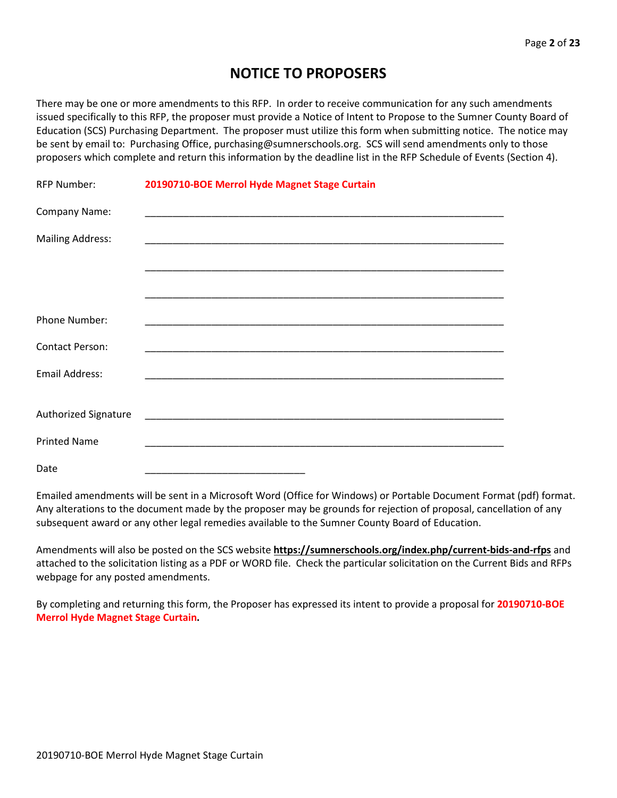# **NOTICE TO PROPOSERS**

There may be one or more amendments to this RFP. In order to receive communication for any such amendments issued specifically to this RFP, the proposer must provide a Notice of Intent to Propose to the Sumner County Board of Education (SCS) Purchasing Department. The proposer must utilize this form when submitting notice. The notice may be sent by email to: Purchasing Office, purchasing@sumnerschools.org. SCS will send amendments only to those proposers which complete and return this information by the deadline list in the RFP Schedule of Events (Section 4).

| <b>RFP Number:</b>      | 20190710-BOE Merrol Hyde Magnet Stage Curtain |
|-------------------------|-----------------------------------------------|
| Company Name:           |                                               |
| <b>Mailing Address:</b> |                                               |
|                         |                                               |
|                         |                                               |
| Phone Number:           |                                               |
| <b>Contact Person:</b>  |                                               |
| <b>Email Address:</b>   |                                               |
|                         |                                               |
| Authorized Signature    |                                               |
| <b>Printed Name</b>     |                                               |
| Date                    |                                               |

Emailed amendments will be sent in a Microsoft Word (Office for Windows) or Portable Document Format (pdf) format. Any alterations to the document made by the proposer may be grounds for rejection of proposal, cancellation of any subsequent award or any other legal remedies available to the Sumner County Board of Education.

Amendments will also be posted on the SCS website **https://sumnerschools.org/index.php/current-bids-and-rfps** and attached to the solicitation listing as a PDF or WORD file. Check the particular solicitation on the Current Bids and RFPs webpage for any posted amendments.

By completing and returning this form, the Proposer has expressed its intent to provide a proposal for **20190710-BOE Merrol Hyde Magnet Stage Curtain.**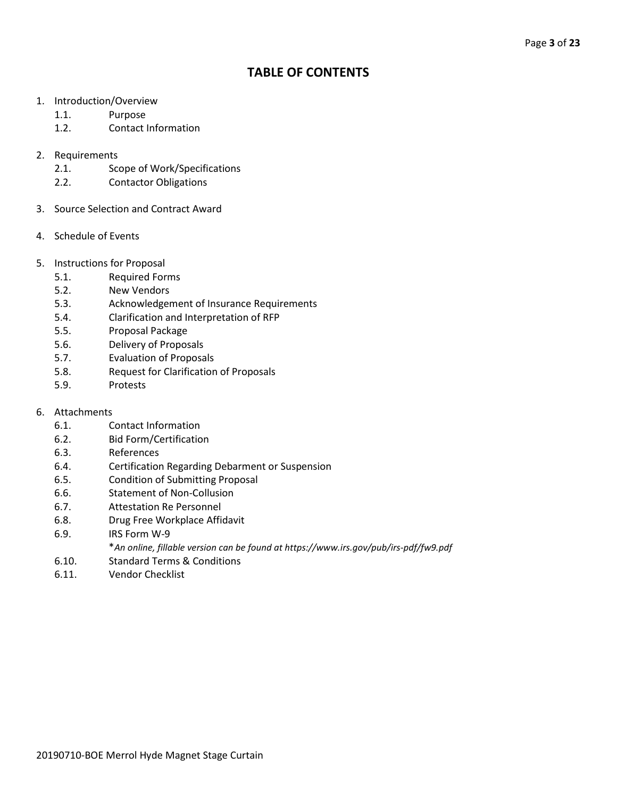# **TABLE OF CONTENTS**

- 1. Introduction/Overview
	- 1.1. Purpose
	- 1.2. Contact Information
- 2. Requirements
	- 2.1. Scope of Work/Specifications
	- 2.2. Contactor Obligations
- 3. Source Selection and Contract Award
- 4. Schedule of Events
- 5. Instructions for Proposal
	- 5.1. Required Forms
	- 5.2. New Vendors
	- 5.3. Acknowledgement of Insurance Requirements
	- 5.4. Clarification and Interpretation of RFP
	- 5.5. Proposal Package
	- 5.6. Delivery of Proposals
	- 5.7. Evaluation of Proposals
	- 5.8. Request for Clarification of Proposals
	- 5.9. Protests
- 6. Attachments
	- 6.1. Contact Information
	- 6.2. Bid Form/Certification
	- 6.3. References
	- 6.4. Certification Regarding Debarment or Suspension
	- 6.5. Condition of Submitting Proposal
	- 6.6. Statement of Non-Collusion
	- 6.7. Attestation Re Personnel
	- 6.8. Drug Free Workplace Affidavit
	- 6.9. IRS Form W-9
		- \**An online, fillable version can be found at https://www.irs.gov/pub/irs-pdf/fw9.pdf*
	- 6.10. Standard Terms & Conditions
	- 6.11. Vendor Checklist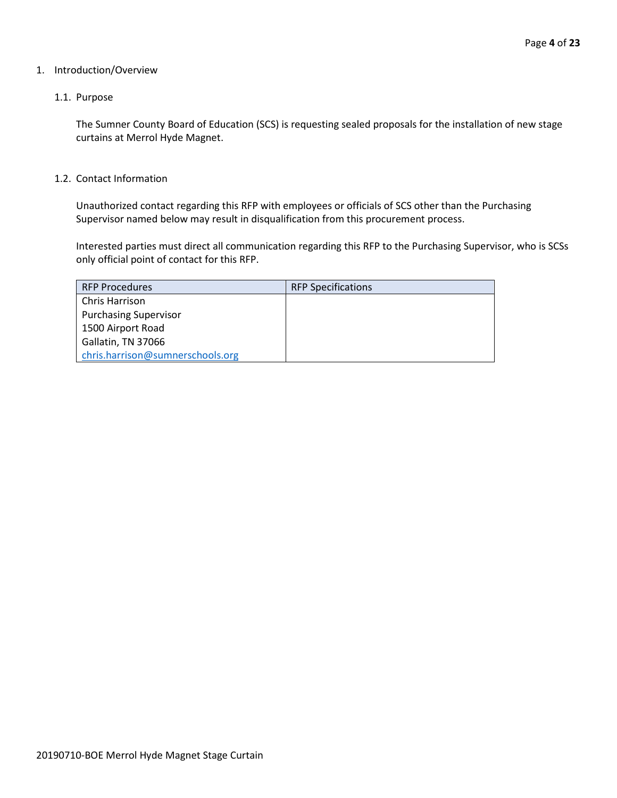#### 1. Introduction/Overview

#### 1.1. Purpose

The Sumner County Board of Education (SCS) is requesting sealed proposals for the installation of new stage curtains at Merrol Hyde Magnet.

1.2. Contact Information

Unauthorized contact regarding this RFP with employees or officials of SCS other than the Purchasing Supervisor named below may result in disqualification from this procurement process.

Interested parties must direct all communication regarding this RFP to the Purchasing Supervisor, who is SCSs only official point of contact for this RFP.

| <b>RFP Procedures</b>            | <b>RFP Specifications</b> |
|----------------------------------|---------------------------|
| <b>Chris Harrison</b>            |                           |
| <b>Purchasing Supervisor</b>     |                           |
| 1500 Airport Road                |                           |
| Gallatin, TN 37066               |                           |
| chris.harrison@sumnerschools.org |                           |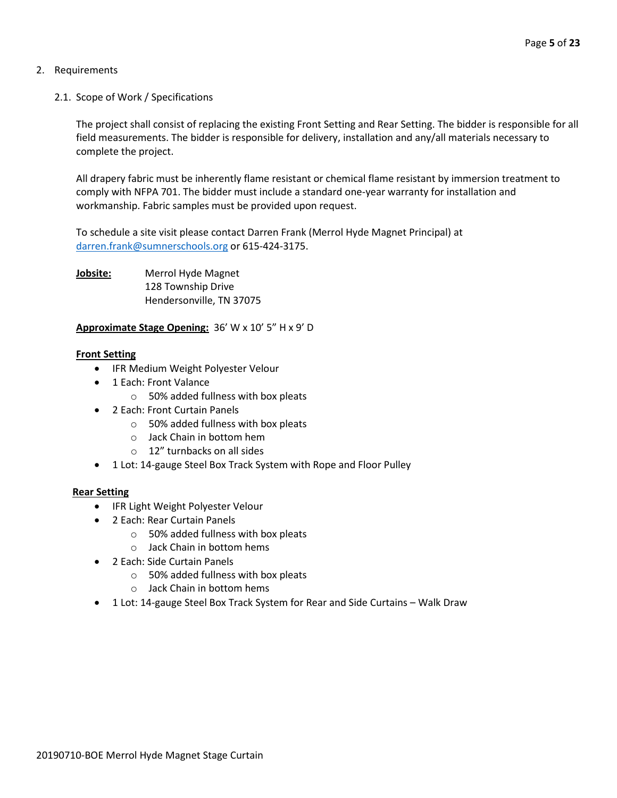# 2. Requirements

2.1. Scope of Work / Specifications

The project shall consist of replacing the existing Front Setting and Rear Setting. The bidder is responsible for all field measurements. The bidder is responsible for delivery, installation and any/all materials necessary to complete the project.

All drapery fabric must be inherently flame resistant or chemical flame resistant by immersion treatment to comply with NFPA 701. The bidder must include a standard one-year warranty for installation and workmanship. Fabric samples must be provided upon request.

To schedule a site visit please contact Darren Frank (Merrol Hyde Magnet Principal) at [darren.frank@sumnerschools.org](mailto:darren.frank@sumnerschools.org) or 615-424-3175.

**Jobsite:** Merrol Hyde Magnet 128 Township Drive Hendersonville, TN 37075

# **Approximate Stage Opening:** 36' W x 10' 5" H x 9' D

# **Front Setting**

- IFR Medium Weight Polyester Velour
- 1 Each: Front Valance
	- o 50% added fullness with box pleats
- 2 Each: Front Curtain Panels
	- o 50% added fullness with box pleats
	- o Jack Chain in bottom hem
	- o 12" turnbacks on all sides
- 1 Lot: 14-gauge Steel Box Track System with Rope and Floor Pulley

## **Rear Setting**

- IFR Light Weight Polyester Velour
- 2 Each: Rear Curtain Panels
	- o 50% added fullness with box pleats
	- o Jack Chain in bottom hems
- 2 Each: Side Curtain Panels
	- o 50% added fullness with box pleats
	- o Jack Chain in bottom hems
- 1 Lot: 14-gauge Steel Box Track System for Rear and Side Curtains Walk Draw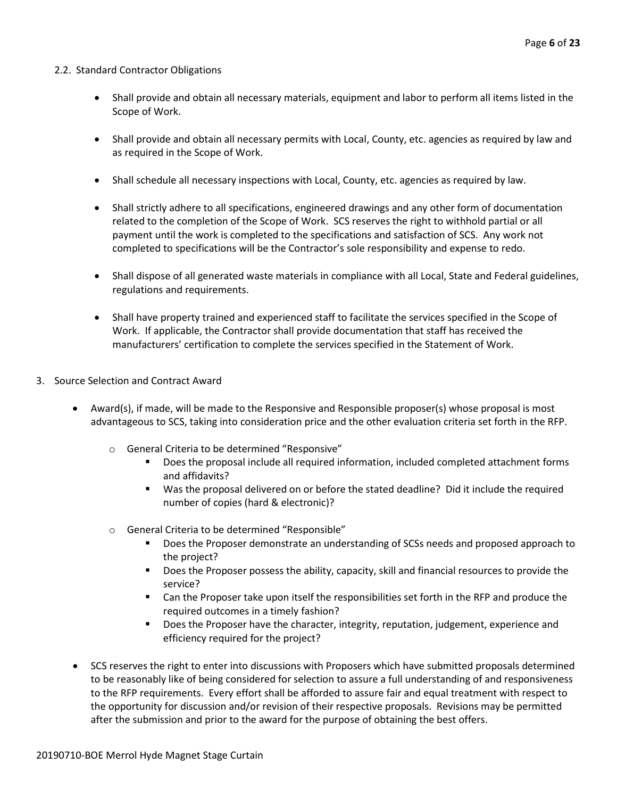#### 2.2. Standard Contractor Obligations

- Shall provide and obtain all necessary materials, equipment and labor to perform all items listed in the Scope of Work.
- Shall provide and obtain all necessary permits with Local, County, etc. agencies as required by law and as required in the Scope of Work.
- Shall schedule all necessary inspections with Local, County, etc. agencies as required by law.
- Shall strictly adhere to all specifications, engineered drawings and any other form of documentation related to the completion of the Scope of Work. SCS reserves the right to withhold partial or all payment until the work is completed to the specifications and satisfaction of SCS. Any work not completed to specifications will be the Contractor's sole responsibility and expense to redo.
- Shall dispose of all generated waste materials in compliance with all Local, State and Federal guidelines, regulations and requirements.
- Shall have property trained and experienced staff to facilitate the services specified in the Scope of Work. If applicable, the Contractor shall provide documentation that staff has received the manufacturers' certification to complete the services specified in the Statement of Work.
- 3. Source Selection and Contract Award
	- Award(s), if made, will be made to the Responsive and Responsible proposer(s) whose proposal is most advantageous to SCS, taking into consideration price and the other evaluation criteria set forth in the RFP.
		- o General Criteria to be determined "Responsive"
			- **Does the proposal include all required information, included completed attachment forms** and affidavits?
			- Was the proposal delivered on or before the stated deadline? Did it include the required number of copies (hard & electronic)?
		- o General Criteria to be determined "Responsible"
			- Does the Proposer demonstrate an understanding of SCSs needs and proposed approach to the project?
			- **Does the Proposer possess the ability, capacity, skill and financial resources to provide the** service?
			- Can the Proposer take upon itself the responsibilities set forth in the RFP and produce the required outcomes in a timely fashion?
			- **Does the Proposer have the character, integrity, reputation, judgement, experience and** efficiency required for the project?
	- SCS reserves the right to enter into discussions with Proposers which have submitted proposals determined to be reasonably like of being considered for selection to assure a full understanding of and responsiveness to the RFP requirements. Every effort shall be afforded to assure fair and equal treatment with respect to the opportunity for discussion and/or revision of their respective proposals. Revisions may be permitted after the submission and prior to the award for the purpose of obtaining the best offers.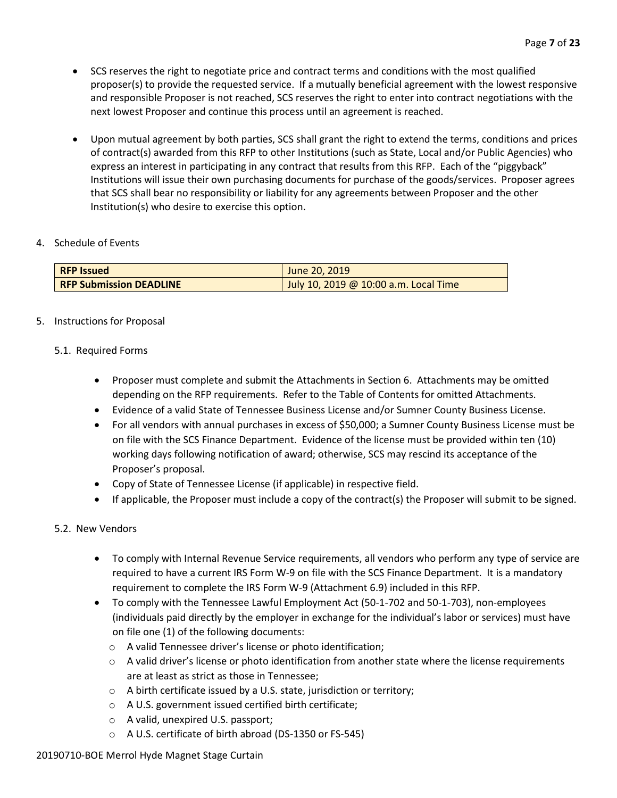- SCS reserves the right to negotiate price and contract terms and conditions with the most qualified proposer(s) to provide the requested service. If a mutually beneficial agreement with the lowest responsive and responsible Proposer is not reached, SCS reserves the right to enter into contract negotiations with the next lowest Proposer and continue this process until an agreement is reached.
- Upon mutual agreement by both parties, SCS shall grant the right to extend the terms, conditions and prices of contract(s) awarded from this RFP to other Institutions (such as State, Local and/or Public Agencies) who express an interest in participating in any contract that results from this RFP. Each of the "piggyback" Institutions will issue their own purchasing documents for purchase of the goods/services. Proposer agrees that SCS shall bear no responsibility or liability for any agreements between Proposer and the other Institution(s) who desire to exercise this option.

# 4. Schedule of Events

| <b>RFP Issued</b>              | June 20, 2019                         |
|--------------------------------|---------------------------------------|
| <b>RFP Submission DEADLINE</b> | July 10, 2019 @ 10:00 a.m. Local Time |

# 5. Instructions for Proposal

# 5.1. Required Forms

- Proposer must complete and submit the Attachments in Section 6. Attachments may be omitted depending on the RFP requirements. Refer to the Table of Contents for omitted Attachments.
- Evidence of a valid State of Tennessee Business License and/or Sumner County Business License.
- For all vendors with annual purchases in excess of \$50,000; a Sumner County Business License must be on file with the SCS Finance Department. Evidence of the license must be provided within ten (10) working days following notification of award; otherwise, SCS may rescind its acceptance of the Proposer's proposal.
- Copy of State of Tennessee License (if applicable) in respective field.
- If applicable, the Proposer must include a copy of the contract(s) the Proposer will submit to be signed.

# 5.2. New Vendors

- To comply with Internal Revenue Service requirements, all vendors who perform any type of service are required to have a current IRS Form W-9 on file with the SCS Finance Department. It is a mandatory requirement to complete the IRS Form W-9 (Attachment 6.9) included in this RFP.
- To comply with the Tennessee Lawful Employment Act (50-1-702 and 50-1-703), non-employees (individuals paid directly by the employer in exchange for the individual's labor or services) must have on file one (1) of the following documents:
	- o A valid Tennessee driver's license or photo identification;
	- $\circ$  A valid driver's license or photo identification from another state where the license requirements are at least as strict as those in Tennessee;
	- o A birth certificate issued by a U.S. state, jurisdiction or territory;
	- o A U.S. government issued certified birth certificate;
	- o A valid, unexpired U.S. passport;
	- o A U.S. certificate of birth abroad (DS-1350 or FS-545)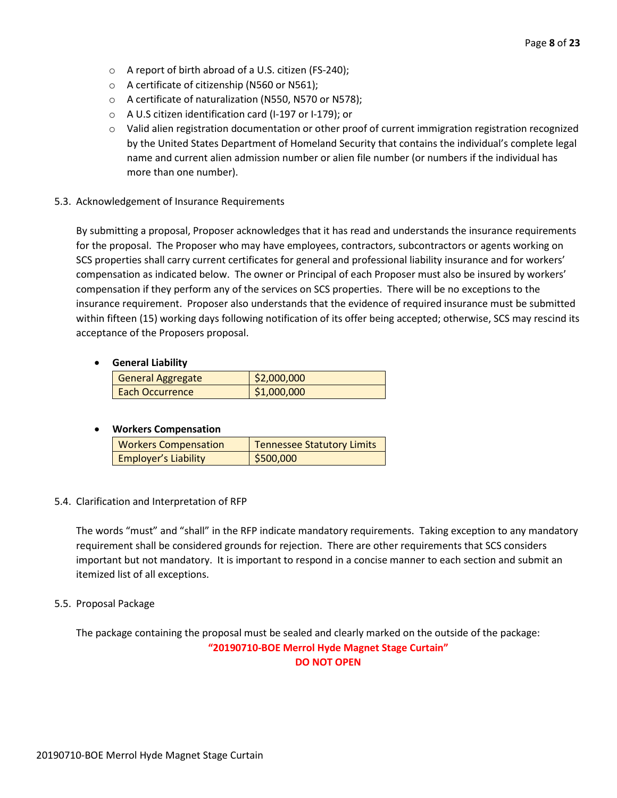- o A report of birth abroad of a U.S. citizen (FS-240);
- o A certificate of citizenship (N560 or N561);
- o A certificate of naturalization (N550, N570 or N578);
- o A U.S citizen identification card (I-197 or I-179); or
- $\circ$  Valid alien registration documentation or other proof of current immigration registration recognized by the United States Department of Homeland Security that contains the individual's complete legal name and current alien admission number or alien file number (or numbers if the individual has more than one number).
- 5.3. Acknowledgement of Insurance Requirements

By submitting a proposal, Proposer acknowledges that it has read and understands the insurance requirements for the proposal. The Proposer who may have employees, contractors, subcontractors or agents working on SCS properties shall carry current certificates for general and professional liability insurance and for workers' compensation as indicated below. The owner or Principal of each Proposer must also be insured by workers' compensation if they perform any of the services on SCS properties. There will be no exceptions to the insurance requirement. Proposer also understands that the evidence of required insurance must be submitted within fifteen (15) working days following notification of its offer being accepted; otherwise, SCS may rescind its acceptance of the Proposers proposal.

# • **General Liability**

| <b>General Aggregate</b> | 52,000,000  |
|--------------------------|-------------|
| Each Occurrence          | \$1,000,000 |

# • **Workers Compensation**

| <b>Workers Compensation</b> | <b>Tennessee Statutory Limits</b> |
|-----------------------------|-----------------------------------|
| <b>Employer's Liability</b> | \$500,000                         |

## 5.4. Clarification and Interpretation of RFP

The words "must" and "shall" in the RFP indicate mandatory requirements. Taking exception to any mandatory requirement shall be considered grounds for rejection. There are other requirements that SCS considers important but not mandatory. It is important to respond in a concise manner to each section and submit an itemized list of all exceptions.

## 5.5. Proposal Package

The package containing the proposal must be sealed and clearly marked on the outside of the package: **"20190710-BOE Merrol Hyde Magnet Stage Curtain" DO NOT OPEN**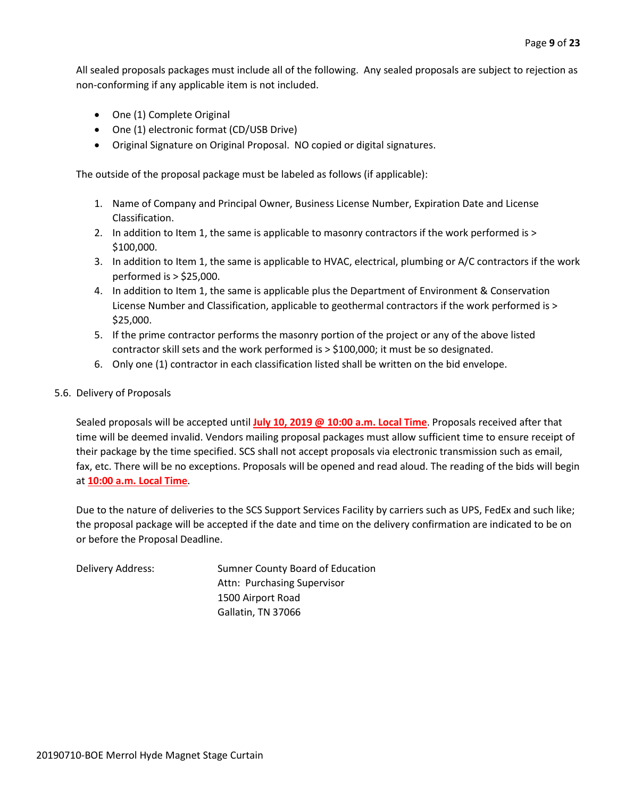All sealed proposals packages must include all of the following. Any sealed proposals are subject to rejection as non-conforming if any applicable item is not included.

- One (1) Complete Original
- One (1) electronic format (CD/USB Drive)
- Original Signature on Original Proposal. NO copied or digital signatures.

The outside of the proposal package must be labeled as follows (if applicable):

- 1. Name of Company and Principal Owner, Business License Number, Expiration Date and License Classification.
- 2. In addition to Item 1, the same is applicable to masonry contractors if the work performed is > \$100,000.
- 3. In addition to Item 1, the same is applicable to HVAC, electrical, plumbing or A/C contractors if the work performed is > \$25,000.
- 4. In addition to Item 1, the same is applicable plus the Department of Environment & Conservation License Number and Classification, applicable to geothermal contractors if the work performed is > \$25,000.
- 5. If the prime contractor performs the masonry portion of the project or any of the above listed contractor skill sets and the work performed is > \$100,000; it must be so designated.
- 6. Only one (1) contractor in each classification listed shall be written on the bid envelope.

#### 5.6. Delivery of Proposals

Sealed proposals will be accepted until **July 10, 2019 @ 10:00 a.m. Local Time**. Proposals received after that time will be deemed invalid. Vendors mailing proposal packages must allow sufficient time to ensure receipt of their package by the time specified. SCS shall not accept proposals via electronic transmission such as email, fax, etc. There will be no exceptions. Proposals will be opened and read aloud. The reading of the bids will begin at **10:00 a.m. Local Time**.

Due to the nature of deliveries to the SCS Support Services Facility by carriers such as UPS, FedEx and such like; the proposal package will be accepted if the date and time on the delivery confirmation are indicated to be on or before the Proposal Deadline.

Delivery Address: Sumner County Board of Education Attn: Purchasing Supervisor 1500 Airport Road Gallatin, TN 37066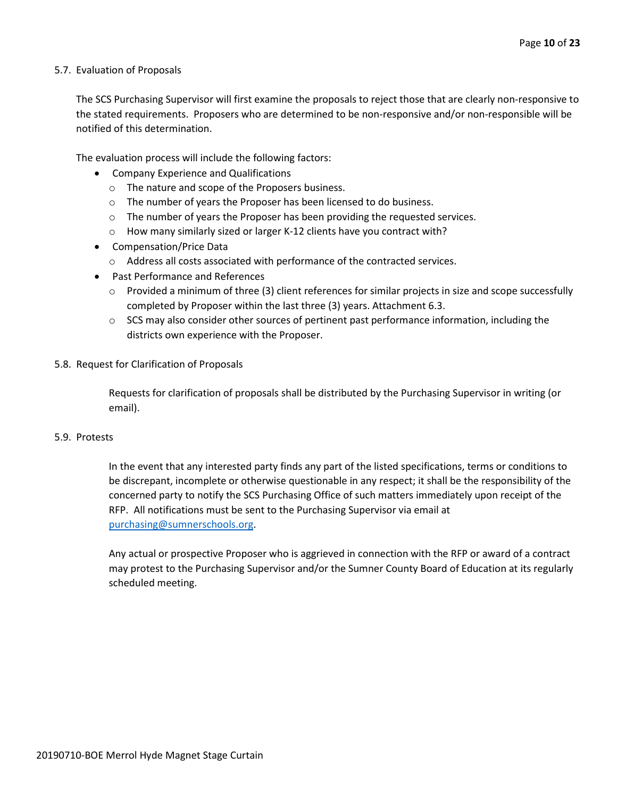#### 5.7. Evaluation of Proposals

The SCS Purchasing Supervisor will first examine the proposals to reject those that are clearly non-responsive to the stated requirements. Proposers who are determined to be non-responsive and/or non-responsible will be notified of this determination.

The evaluation process will include the following factors:

- Company Experience and Qualifications
	- o The nature and scope of the Proposers business.
	- $\circ$  The number of years the Proposer has been licensed to do business.
	- $\circ$  The number of years the Proposer has been providing the requested services.
	- o How many similarly sized or larger K-12 clients have you contract with?
- Compensation/Price Data
	- o Address all costs associated with performance of the contracted services.
- Past Performance and References
	- $\circ$  Provided a minimum of three (3) client references for similar projects in size and scope successfully completed by Proposer within the last three (3) years. Attachment 6.3.
	- $\circ$  SCS may also consider other sources of pertinent past performance information, including the districts own experience with the Proposer.
- 5.8. Request for Clarification of Proposals

Requests for clarification of proposals shall be distributed by the Purchasing Supervisor in writing (or email).

#### 5.9. Protests

In the event that any interested party finds any part of the listed specifications, terms or conditions to be discrepant, incomplete or otherwise questionable in any respect; it shall be the responsibility of the concerned party to notify the SCS Purchasing Office of such matters immediately upon receipt of the RFP. All notifications must be sent to the Purchasing Supervisor via email at [purchasing@sumnerschools.org.](mailto:purchasing@sumnerschools.org)

Any actual or prospective Proposer who is aggrieved in connection with the RFP or award of a contract may protest to the Purchasing Supervisor and/or the Sumner County Board of Education at its regularly scheduled meeting.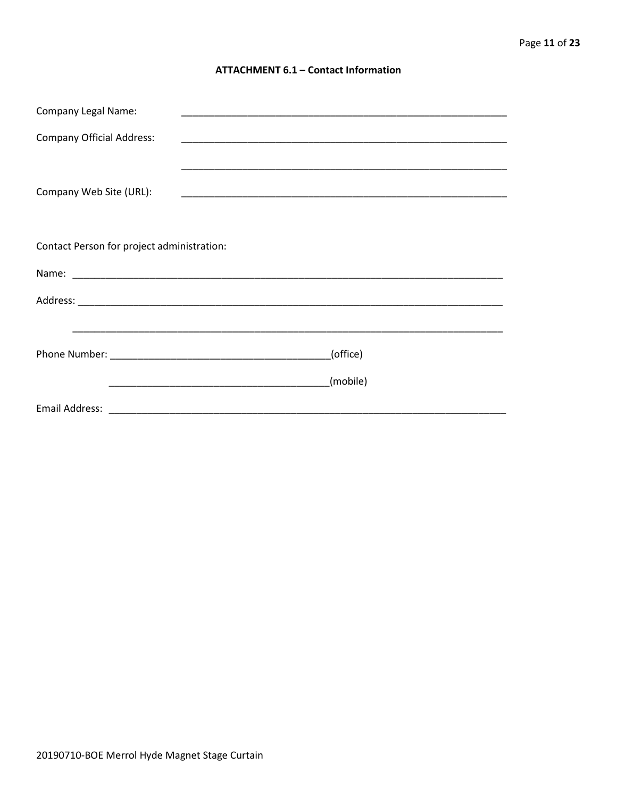#### **ATTACHMENT 6.1 - Contact Information**

| <b>Company Legal Name:</b>                 |          |
|--------------------------------------------|----------|
| <b>Company Official Address:</b>           |          |
|                                            |          |
| Company Web Site (URL):                    |          |
|                                            |          |
| Contact Person for project administration: |          |
|                                            |          |
|                                            |          |
|                                            |          |
| (office)                                   |          |
|                                            | (mobile) |
|                                            |          |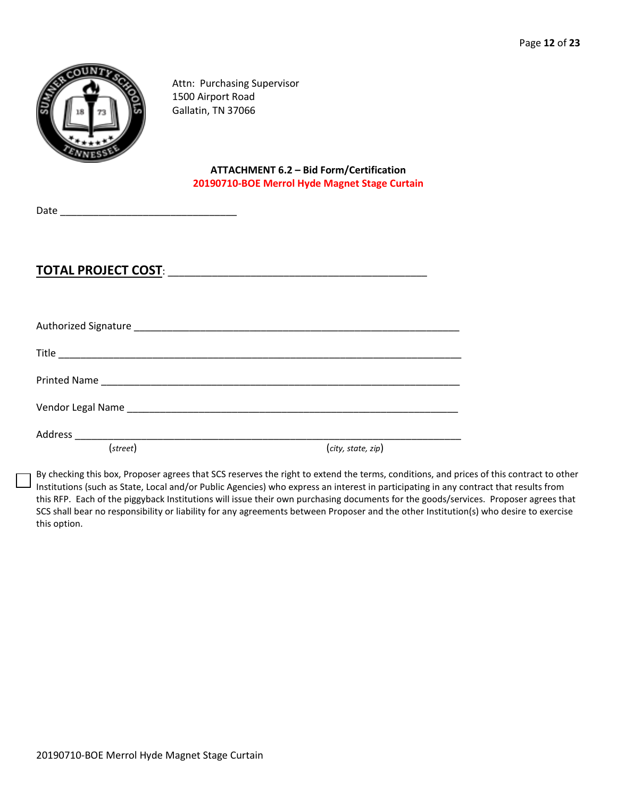

Attn: Purchasing Supervisor 1500 Airport Road Gallatin, TN 37066

> **ATTACHMENT 6.2 – Bid Form/Certification 20190710-BOE Merrol Hyde Magnet Stage Curtain**

Date \_\_\_\_\_\_\_\_\_\_\_\_\_\_\_\_\_\_\_\_\_\_\_\_\_\_\_\_\_\_\_\_

# **TOTAL PROJECT COST**: \_\_\_\_\_\_\_\_\_\_\_\_\_\_\_\_\_\_\_\_\_\_\_\_\_\_\_\_\_\_\_\_\_\_\_\_\_\_\_\_\_\_\_\_\_\_\_

| (street) |                    |
|----------|--------------------|
|          | (city, state, zip) |

By checking this box, Proposer agrees that SCS reserves the right to extend the terms, conditions, and prices of this contract to other Institutions (such as State, Local and/or Public Agencies) who express an interest in participating in any contract that results from this RFP. Each of the piggyback Institutions will issue their own purchasing documents for the goods/services. Proposer agrees that SCS shall bear no responsibility or liability for any agreements between Proposer and the other Institution(s) who desire to exercise this option.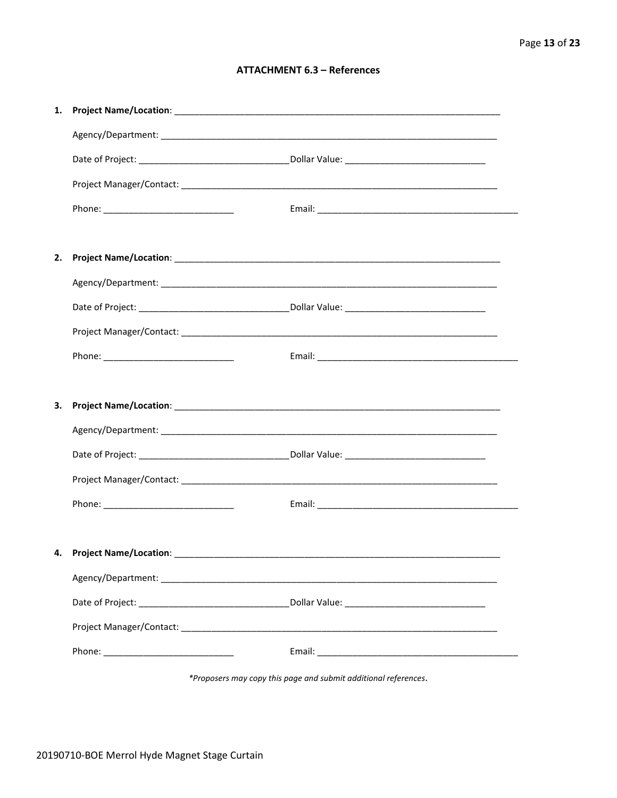## **ATTACHMENT 6.3 - References**

| 1. |                           |  |
|----|---------------------------|--|
|    |                           |  |
|    |                           |  |
|    |                           |  |
|    |                           |  |
|    |                           |  |
| 2. |                           |  |
|    |                           |  |
|    |                           |  |
|    |                           |  |
|    |                           |  |
|    |                           |  |
| З. |                           |  |
|    |                           |  |
|    |                           |  |
|    |                           |  |
|    |                           |  |
|    |                           |  |
|    | 4. Project Name/Location: |  |
|    |                           |  |
|    |                           |  |
|    |                           |  |
|    |                           |  |

\*Proposers may copy this page and submit additional references.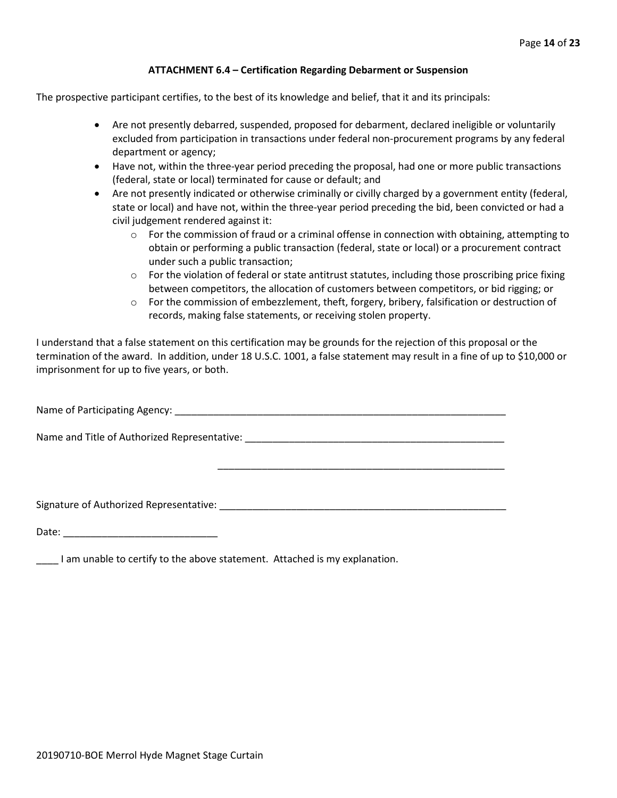#### **ATTACHMENT 6.4 – Certification Regarding Debarment or Suspension**

The prospective participant certifies, to the best of its knowledge and belief, that it and its principals:

- Are not presently debarred, suspended, proposed for debarment, declared ineligible or voluntarily excluded from participation in transactions under federal non-procurement programs by any federal department or agency;
- Have not, within the three-year period preceding the proposal, had one or more public transactions (federal, state or local) terminated for cause or default; and
- Are not presently indicated or otherwise criminally or civilly charged by a government entity (federal, state or local) and have not, within the three-year period preceding the bid, been convicted or had a civil judgement rendered against it:
	- $\circ$  For the commission of fraud or a criminal offense in connection with obtaining, attempting to obtain or performing a public transaction (federal, state or local) or a procurement contract under such a public transaction;
	- $\circ$  For the violation of federal or state antitrust statutes, including those proscribing price fixing between competitors, the allocation of customers between competitors, or bid rigging; or
	- $\circ$  For the commission of embezzlement, theft, forgery, bribery, falsification or destruction of records, making false statements, or receiving stolen property.

\_\_\_\_\_\_\_\_\_\_\_\_\_\_\_\_\_\_\_\_\_\_\_\_\_\_\_\_\_\_\_\_\_\_\_\_\_\_\_\_\_\_\_\_\_\_\_\_\_\_\_\_

I understand that a false statement on this certification may be grounds for the rejection of this proposal or the termination of the award. In addition, under 18 U.S.C. 1001, a false statement may result in a fine of up to \$10,000 or imprisonment for up to five years, or both.

Name of Participating Agency: \_\_\_\_\_\_\_\_\_\_\_\_\_\_\_\_\_\_\_\_\_\_\_\_\_\_\_\_\_\_\_\_\_\_\_\_\_\_\_\_\_\_\_\_\_\_\_\_\_\_\_\_\_\_\_\_\_\_\_\_

Name and Title of Authorized Representative: \_\_\_\_\_\_\_\_\_\_\_\_\_\_\_\_\_\_\_\_\_\_\_\_\_\_\_\_\_\_\_\_\_\_\_\_\_\_\_\_\_\_\_\_\_\_\_

Signature of Authorized Representative: \_\_\_\_\_\_\_\_\_\_\_\_\_\_\_\_\_\_\_\_\_\_\_\_\_\_\_\_\_\_\_\_\_\_\_\_\_\_\_\_\_\_\_\_\_\_\_\_\_\_\_\_

Date: \_\_\_\_\_\_\_\_\_\_\_\_\_\_\_\_\_\_\_\_\_\_\_\_\_\_\_\_

\_\_\_\_ I am unable to certify to the above statement. Attached is my explanation.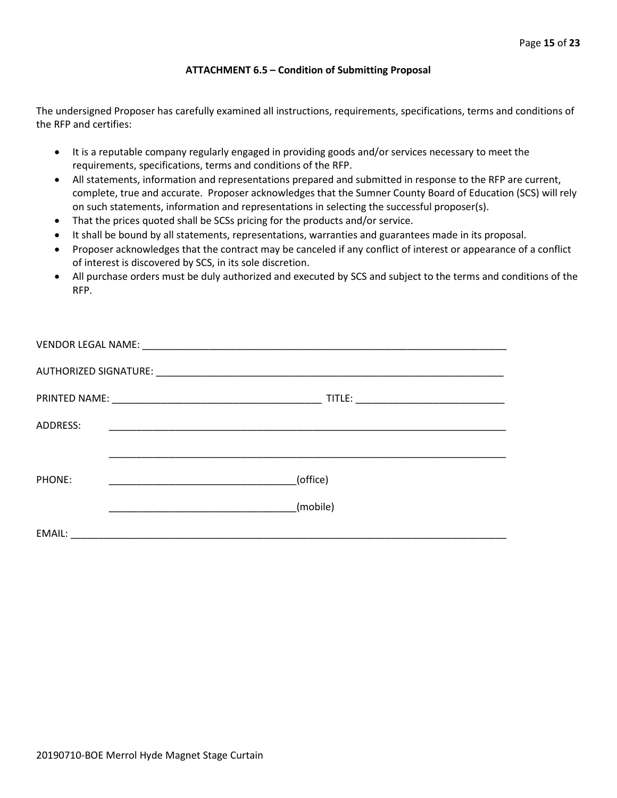#### **ATTACHMENT 6.5 – Condition of Submitting Proposal**

The undersigned Proposer has carefully examined all instructions, requirements, specifications, terms and conditions of the RFP and certifies:

- It is a reputable company regularly engaged in providing goods and/or services necessary to meet the requirements, specifications, terms and conditions of the RFP.
- All statements, information and representations prepared and submitted in response to the RFP are current, complete, true and accurate. Proposer acknowledges that the Sumner County Board of Education (SCS) will rely on such statements, information and representations in selecting the successful proposer(s).
- That the prices quoted shall be SCSs pricing for the products and/or service.
- It shall be bound by all statements, representations, warranties and guarantees made in its proposal.
- Proposer acknowledges that the contract may be canceled if any conflict of interest or appearance of a conflict of interest is discovered by SCS, in its sole discretion.
- All purchase orders must be duly authorized and executed by SCS and subject to the terms and conditions of the RFP.

| ADDRESS: |                                                                                                                                  |
|----------|----------------------------------------------------------------------------------------------------------------------------------|
|          |                                                                                                                                  |
| PHONE:   | (office)<br><u> 1989 - Johann John Harry Harry Harry Harry Harry Harry Harry Harry Harry Harry Harry Harry Harry Harry Harry</u> |
|          | (mobile)                                                                                                                         |
| EMAIL:   |                                                                                                                                  |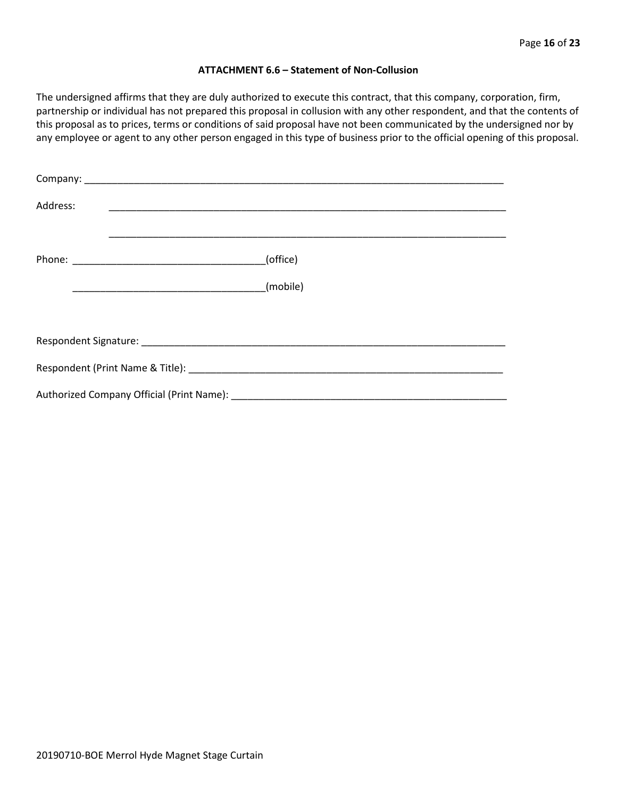#### **ATTACHMENT 6.6 – Statement of Non-Collusion**

The undersigned affirms that they are duly authorized to execute this contract, that this company, corporation, firm, partnership or individual has not prepared this proposal in collusion with any other respondent, and that the contents of this proposal as to prices, terms or conditions of said proposal have not been communicated by the undersigned nor by any employee or agent to any other person engaged in this type of business prior to the official opening of this proposal.

| Address: |          |
|----------|----------|
|          | (office) |
|          | (mobile) |
|          |          |
|          |          |
|          |          |
|          |          |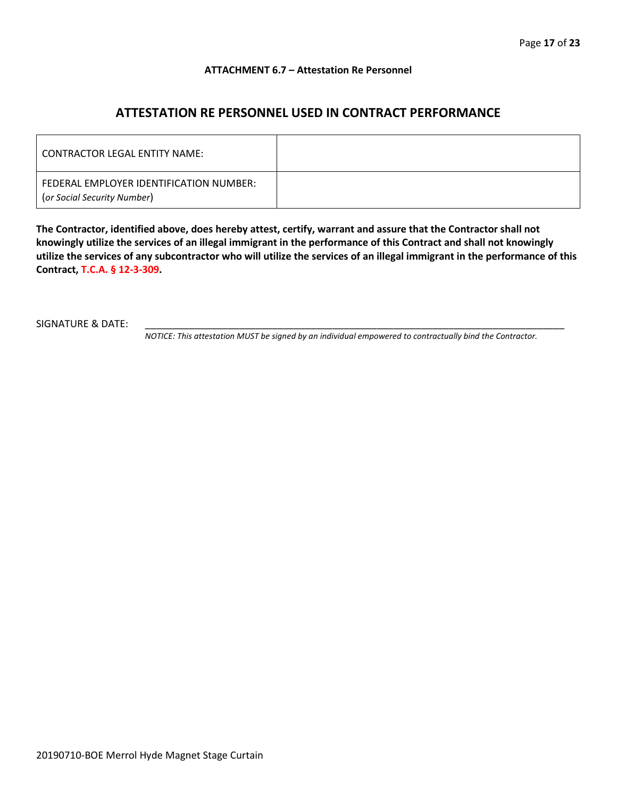#### **ATTACHMENT 6.7 – Attestation Re Personnel**

# **ATTESTATION RE PERSONNEL USED IN CONTRACT PERFORMANCE**

| CONTRACTOR LEGAL ENTITY NAME:                                          |  |
|------------------------------------------------------------------------|--|
| FEDERAL EMPLOYER IDENTIFICATION NUMBER:<br>(or Social Security Number) |  |

**The Contractor, identified above, does hereby attest, certify, warrant and assure that the Contractor shall not knowingly utilize the services of an illegal immigrant in the performance of this Contract and shall not knowingly utilize the services of any subcontractor who will utilize the services of an illegal immigrant in the performance of this Contract, T.C.A. § 12-3-309.**

SIGNATURE & DATE:

*NOTICE: This attestation MUST be signed by an individual empowered to contractually bind the Contractor.*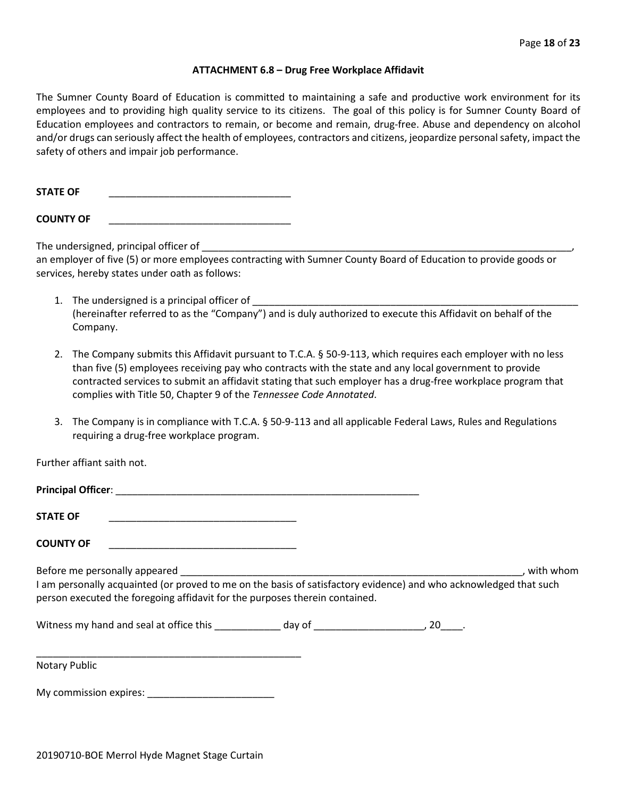#### **ATTACHMENT 6.8 – Drug Free Workplace Affidavit**

The Sumner County Board of Education is committed to maintaining a safe and productive work environment for its employees and to providing high quality service to its citizens. The goal of this policy is for Sumner County Board of Education employees and contractors to remain, or become and remain, drug-free. Abuse and dependency on alcohol and/or drugs can seriously affect the health of employees, contractors and citizens, jeopardize personal safety, impact the safety of others and impair job performance.

**STATE OF** \_\_\_\_\_\_\_\_\_\_\_\_\_\_\_\_\_\_\_\_\_\_\_\_\_\_\_\_\_\_\_\_\_

**COUNTY OF** \_\_\_\_\_\_\_\_\_\_\_\_\_\_\_\_\_\_\_\_\_\_\_\_\_\_\_\_\_\_\_\_\_

The undersigned, principal officer of

an employer of five (5) or more employees contracting with Sumner County Board of Education to provide goods or services, hereby states under oath as follows:

- 1. The undersigned is a principal officer of (hereinafter referred to as the "Company") and is duly authorized to execute this Affidavit on behalf of the Company.
- 2. The Company submits this Affidavit pursuant to T.C.A. § 50-9-113, which requires each employer with no less than five (5) employees receiving pay who contracts with the state and any local government to provide contracted services to submit an affidavit stating that such employer has a drug-free workplace program that complies with Title 50, Chapter 9 of the *Tennessee Code Annotated*.
- 3. The Company is in compliance with T.C.A. § 50-9-113 and all applicable Federal Laws, Rules and Regulations requiring a drug-free workplace program.

Further affiant saith not.

| <b>STATE OF</b>                                                                                                                                                                                                                                                                                                                                                                                                                    |  |           |
|------------------------------------------------------------------------------------------------------------------------------------------------------------------------------------------------------------------------------------------------------------------------------------------------------------------------------------------------------------------------------------------------------------------------------------|--|-----------|
| <b>COUNTY OF</b>                                                                                                                                                                                                                                                                                                                                                                                                                   |  |           |
| Before me personally appeared experience and the set of the set of the set of the set of the set of the set of the set of the set of the set of the set of the set of the set of the set of the set of the set of the set of t<br>I am personally acquainted (or proved to me on the basis of satisfactory evidence) and who acknowledged that such<br>person executed the foregoing affidavit for the purposes therein contained. |  | with whom |
| Vitness my hand and seal at office this by the day of the case of the control of the control of the control of the control of the control of the control of the control of the control of the control of the control of the co                                                                                                                                                                                                     |  |           |
| <b>Notary Public</b>                                                                                                                                                                                                                                                                                                                                                                                                               |  |           |

My commission expires: \_\_\_\_\_\_\_\_\_\_\_\_\_\_\_\_\_\_\_\_\_\_\_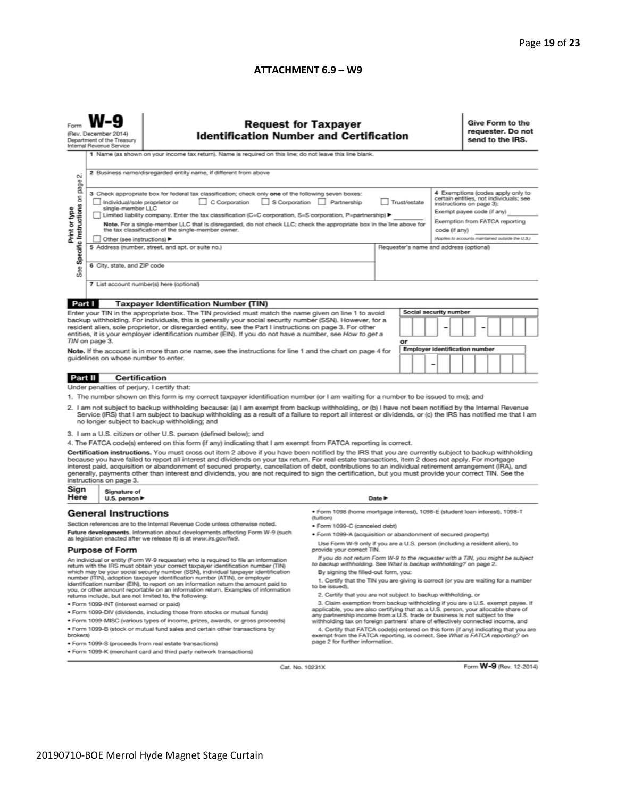#### **ATTACHMENT 6.9 – W9**

|                                                                                                                                                                                                                                                                                                                                                                                                                                                                                                                                                                                                                                                                                                                                                                                                                                                                                                                                                                                                                                                                                                                                                                                                                                                                                                                                                                                    | <b>Request for Taxpayer</b><br><b>Identification Number and Certification</b><br>(Rev. December 2014)<br>Department of the Treasury<br>Internal Revenue Service<br>1 Name (as shown on your income tax return). Name is required on this line; do not leave this line blank.                                                                                                                                                                                                                                                                                                                                                                                                                                                                                                                                     |                                                                                                                                                                                                                                                                                                                                                                                                                                                                                                                                                                                                                                                                                                                                                                                                                                                                                                                                                                                                                                                                                                                                                                                                  |  |        |  |  |                                                                                                                                                                                                                              | Give Form to the<br>requester. Do not<br>send to the IRS. |  |  |  |  |
|------------------------------------------------------------------------------------------------------------------------------------------------------------------------------------------------------------------------------------------------------------------------------------------------------------------------------------------------------------------------------------------------------------------------------------------------------------------------------------------------------------------------------------------------------------------------------------------------------------------------------------------------------------------------------------------------------------------------------------------------------------------------------------------------------------------------------------------------------------------------------------------------------------------------------------------------------------------------------------------------------------------------------------------------------------------------------------------------------------------------------------------------------------------------------------------------------------------------------------------------------------------------------------------------------------------------------------------------------------------------------------|------------------------------------------------------------------------------------------------------------------------------------------------------------------------------------------------------------------------------------------------------------------------------------------------------------------------------------------------------------------------------------------------------------------------------------------------------------------------------------------------------------------------------------------------------------------------------------------------------------------------------------------------------------------------------------------------------------------------------------------------------------------------------------------------------------------|--------------------------------------------------------------------------------------------------------------------------------------------------------------------------------------------------------------------------------------------------------------------------------------------------------------------------------------------------------------------------------------------------------------------------------------------------------------------------------------------------------------------------------------------------------------------------------------------------------------------------------------------------------------------------------------------------------------------------------------------------------------------------------------------------------------------------------------------------------------------------------------------------------------------------------------------------------------------------------------------------------------------------------------------------------------------------------------------------------------------------------------------------------------------------------------------------|--|--------|--|--|------------------------------------------------------------------------------------------------------------------------------------------------------------------------------------------------------------------------------|-----------------------------------------------------------|--|--|--|--|
| $\sim$<br>page<br>Specific Instructions on<br>Print or type<br>æ<br>αñ                                                                                                                                                                                                                                                                                                                                                                                                                                                                                                                                                                                                                                                                                                                                                                                                                                                                                                                                                                                                                                                                                                                                                                                                                                                                                                             | 2 Business name/disregarded entity name, if different from above<br>3 Check appropriate box for federal tax classification; check only one of the following seven boxes:<br>C Corporation S Corporation Partnership<br>Trust/estate<br>Individual/sole proprietor or<br>single-member LLC<br>Limited liability company. Enter the tax classification (C=C corporation, S=S corporation, P=partnership) ▶<br>Note. For a single-member LLC that is disregarded, do not check LLC; check the appropriate box in the line above for<br>the tax classification of the single-member owner.<br>code (if any)<br>Other (see instructions) ▶<br>5 Address (number, street, and apt. or suite no.)<br>Requester's name and address (optional)<br>6 City, state, and ZIP code<br>7 List account number(s) here (optional) |                                                                                                                                                                                                                                                                                                                                                                                                                                                                                                                                                                                                                                                                                                                                                                                                                                                                                                                                                                                                                                                                                                                                                                                                  |  |        |  |  | 4 Exemptions (codes apply only to<br>certain entities, not individuals; see<br>instructions on page 3):<br>Exempt payee code (if any)<br>Exemption from FATCA reporting<br>(Applies to accounts maintained outside the U.S.) |                                                           |  |  |  |  |
|                                                                                                                                                                                                                                                                                                                                                                                                                                                                                                                                                                                                                                                                                                                                                                                                                                                                                                                                                                                                                                                                                                                                                                                                                                                                                                                                                                                    |                                                                                                                                                                                                                                                                                                                                                                                                                                                                                                                                                                                                                                                                                                                                                                                                                  |                                                                                                                                                                                                                                                                                                                                                                                                                                                                                                                                                                                                                                                                                                                                                                                                                                                                                                                                                                                                                                                                                                                                                                                                  |  |        |  |  |                                                                                                                                                                                                                              |                                                           |  |  |  |  |
| Part I<br><b>Taxpayer Identification Number (TIN)</b><br><b>Social security number</b><br>Enter your TIN in the appropriate box. The TIN provided must match the name given on line 1 to avoid<br>backup withholding. For individuals, this is generally your social security number (SSN). However, for a<br>resident alien, sole proprietor, or disregarded entity, see the Part I instructions on page 3. For other<br>entities, it is your employer identification number (EIN). If you do not have a number, see How to get a<br>TIN on page 3.<br>or<br><b>Employer identification number</b><br>Note. If the account is in more than one name, see the instructions for line 1 and the chart on page 4 for<br>guidelines on whose number to enter.<br>-                                                                                                                                                                                                                                                                                                                                                                                                                                                                                                                                                                                                                     |                                                                                                                                                                                                                                                                                                                                                                                                                                                                                                                                                                                                                                                                                                                                                                                                                  |                                                                                                                                                                                                                                                                                                                                                                                                                                                                                                                                                                                                                                                                                                                                                                                                                                                                                                                                                                                                                                                                                                                                                                                                  |  |        |  |  |                                                                                                                                                                                                                              |                                                           |  |  |  |  |
| Part II                                                                                                                                                                                                                                                                                                                                                                                                                                                                                                                                                                                                                                                                                                                                                                                                                                                                                                                                                                                                                                                                                                                                                                                                                                                                                                                                                                            | <b>Certification</b>                                                                                                                                                                                                                                                                                                                                                                                                                                                                                                                                                                                                                                                                                                                                                                                             |                                                                                                                                                                                                                                                                                                                                                                                                                                                                                                                                                                                                                                                                                                                                                                                                                                                                                                                                                                                                                                                                                                                                                                                                  |  |        |  |  |                                                                                                                                                                                                                              |                                                           |  |  |  |  |
| Under penalties of perjury, I certify that:<br>1. The number shown on this form is my correct taxpayer identification number (or I am waiting for a number to be issued to me); and<br>2. I am not subject to backup withholding because: (a) I am exempt from backup withholding, or (b) I have not been notified by the Internal Revenue<br>Service (IRS) that I am subject to backup withholding as a result of a failure to report all interest or dividends, or (c) the IRS has notified me that I am<br>no longer subject to backup withholding; and<br>3. I am a U.S. citizen or other U.S. person (defined below); and<br>4. The FATCA code(s) entered on this form (if any) indicating that I am exempt from FATCA reporting is correct.<br>Certification instructions. You must cross out item 2 above if you have been notified by the IRS that you are currently subject to backup withholding<br>because you have failed to report all interest and dividends on your tax return. For real estate transactions, item 2 does not apply. For mortgage<br>interest paid, acquisition or abandonment of secured property, cancellation of debt, contributions to an individual retirement arrangement (IRA), and<br>generally, payments other than interest and dividends, you are not required to sign the certification, but you must provide your correct TIN. See the |                                                                                                                                                                                                                                                                                                                                                                                                                                                                                                                                                                                                                                                                                                                                                                                                                  |                                                                                                                                                                                                                                                                                                                                                                                                                                                                                                                                                                                                                                                                                                                                                                                                                                                                                                                                                                                                                                                                                                                                                                                                  |  |        |  |  |                                                                                                                                                                                                                              |                                                           |  |  |  |  |
|                                                                                                                                                                                                                                                                                                                                                                                                                                                                                                                                                                                                                                                                                                                                                                                                                                                                                                                                                                                                                                                                                                                                                                                                                                                                                                                                                                                    | instructions on page 3.                                                                                                                                                                                                                                                                                                                                                                                                                                                                                                                                                                                                                                                                                                                                                                                          |                                                                                                                                                                                                                                                                                                                                                                                                                                                                                                                                                                                                                                                                                                                                                                                                                                                                                                                                                                                                                                                                                                                                                                                                  |  |        |  |  |                                                                                                                                                                                                                              |                                                           |  |  |  |  |
| Sign<br>Here                                                                                                                                                                                                                                                                                                                                                                                                                                                                                                                                                                                                                                                                                                                                                                                                                                                                                                                                                                                                                                                                                                                                                                                                                                                                                                                                                                       | Signature of<br>U.S. person $\blacktriangleright$                                                                                                                                                                                                                                                                                                                                                                                                                                                                                                                                                                                                                                                                                                                                                                |                                                                                                                                                                                                                                                                                                                                                                                                                                                                                                                                                                                                                                                                                                                                                                                                                                                                                                                                                                                                                                                                                                                                                                                                  |  | Date P |  |  |                                                                                                                                                                                                                              |                                                           |  |  |  |  |
| <b>General Instructions</b><br>Section references are to the Internal Revenue Code unless otherwise noted.<br>Future developments. Information about developments affecting Form W-9 (such<br>as legislation enacted after we release it) is at www.irs.gov/fw9.<br><b>Purpose of Form</b><br>An individual or entity (Form W-9 requester) who is required to file an information<br>return with the IRS must obtain your correct taxpayer identification number (TIN)<br>which may be your social security number (SSN), individual taxpayer identification<br>number (ITIN), adoption taxpayer identification number (ATIN), or employer<br>identification number (EIN), to report on an information return the amount paid to<br>you, or other amount reportable on an information return. Examples of information<br>returns include, but are not limited to, the following:<br>· Form 1099-INT (interest earned or paid)<br>. Form 1099-DIV (dividends, including those from stocks or mutual funds)<br>* Form 1099-MISC (various types of income, prizes, awards, or gross proceeds)<br>. Form 1099-B (stock or mutual fund sales and certain other transactions by<br>brokers)                                                                                                                                                                                              |                                                                                                                                                                                                                                                                                                                                                                                                                                                                                                                                                                                                                                                                                                                                                                                                                  | · Form 1098 (home mortgage interest), 1098-E (student loan interest), 1098-T<br>(tuition)<br>· Form 1099-C (canceled debt)<br>· Form 1099-A (acquisition or abandonment of secured property)<br>Use Form W-9 only if you are a U.S. person (including a resident alien), to<br>provide your correct TIN.<br>If you do not return Form W-9 to the requester with a TIN, you might be subject<br>to backup withholding. See What is backup withholding? on page 2.<br>By signing the filled-out form, you:<br>1. Certify that the TIN you are giving is correct (or you are waiting for a number<br>to be issued).<br>2. Certify that you are not subject to backup withholding, or<br>3. Claim exemption from backup withholding if you are a U.S. exempt payee. If<br>applicable, you are also certifying that as a U.S. person, your allocable share of<br>any partnership income from a U.S. trade or business is not subject to the<br>withholding tax on foreign partners' share of effectively connected income, and<br>4. Certify that FATCA code(s) entered on this form (if any) indicating that you are<br>exempt from the FATCA reporting, is correct. See What is FATCA reporting? on |  |        |  |  |                                                                                                                                                                                                                              |                                                           |  |  |  |  |
| page 2 for further information.<br>· Form 1099-S (proceeds from real estate transactions)<br>. Form 1099-K (merchant card and third party network transactions)                                                                                                                                                                                                                                                                                                                                                                                                                                                                                                                                                                                                                                                                                                                                                                                                                                                                                                                                                                                                                                                                                                                                                                                                                    |                                                                                                                                                                                                                                                                                                                                                                                                                                                                                                                                                                                                                                                                                                                                                                                                                  |                                                                                                                                                                                                                                                                                                                                                                                                                                                                                                                                                                                                                                                                                                                                                                                                                                                                                                                                                                                                                                                                                                                                                                                                  |  |        |  |  |                                                                                                                                                                                                                              |                                                           |  |  |  |  |

Cat. No. 10231X

Form W-9 (Rev. 12-2014)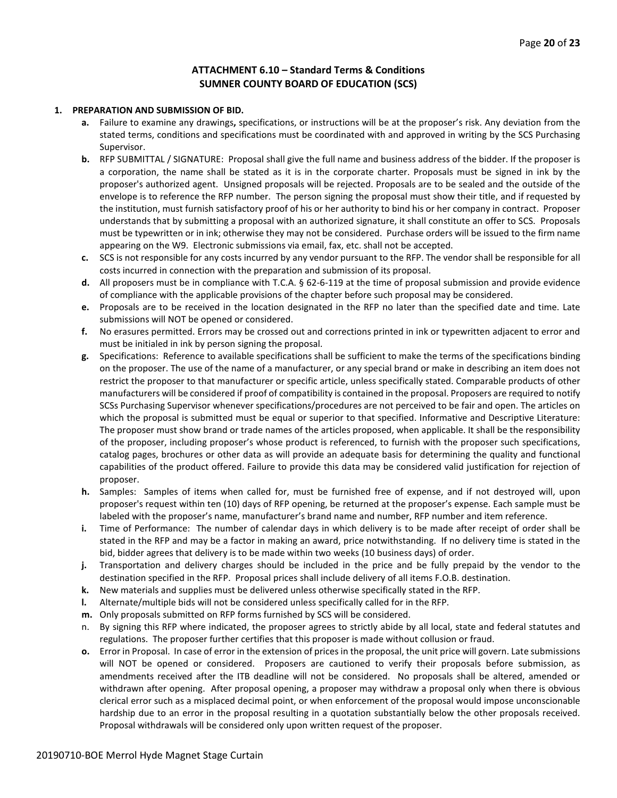# **ATTACHMENT 6.10 – Standard Terms & Conditions SUMNER COUNTY BOARD OF EDUCATION (SCS)**

#### **1. PREPARATION AND SUBMISSION OF BID.**

- **a.** Failure to examine any drawings**,** specifications, or instructions will be at the proposer's risk. Any deviation from the stated terms, conditions and specifications must be coordinated with and approved in writing by the SCS Purchasing Supervisor.
- **b.** RFP SUBMITTAL / SIGNATURE: Proposal shall give the full name and business address of the bidder. If the proposer is a corporation, the name shall be stated as it is in the corporate charter. Proposals must be signed in ink by the proposer's authorized agent. Unsigned proposals will be rejected. Proposals are to be sealed and the outside of the envelope is to reference the RFP number. The person signing the proposal must show their title, and if requested by the institution, must furnish satisfactory proof of his or her authority to bind his or her company in contract. Proposer understands that by submitting a proposal with an authorized signature, it shall constitute an offer to SCS. Proposals must be typewritten or in ink; otherwise they may not be considered. Purchase orders will be issued to the firm name appearing on the W9. Electronic submissions via email, fax, etc. shall not be accepted.
- **c.** SCS is not responsible for any costs incurred by any vendor pursuant to the RFP. The vendor shall be responsible for all costs incurred in connection with the preparation and submission of its proposal.
- **d.** All proposers must be in compliance with T.C.A. § 62-6-119 at the time of proposal submission and provide evidence of compliance with the applicable provisions of the chapter before such proposal may be considered.
- **e.** Proposals are to be received in the location designated in the RFP no later than the specified date and time. Late submissions will NOT be opened or considered.
- **f.** No erasures permitted. Errors may be crossed out and corrections printed in ink or typewritten adjacent to error and must be initialed in ink by person signing the proposal.
- **g.** Specifications: Reference to available specifications shall be sufficient to make the terms of the specifications binding on the proposer. The use of the name of a manufacturer, or any special brand or make in describing an item does not restrict the proposer to that manufacturer or specific article, unless specifically stated. Comparable products of other manufacturers will be considered if proof of compatibility is contained in the proposal. Proposers are required to notify SCSs Purchasing Supervisor whenever specifications/procedures are not perceived to be fair and open. The articles on which the proposal is submitted must be equal or superior to that specified. Informative and Descriptive Literature: The proposer must show brand or trade names of the articles proposed, when applicable. It shall be the responsibility of the proposer, including proposer's whose product is referenced, to furnish with the proposer such specifications, catalog pages, brochures or other data as will provide an adequate basis for determining the quality and functional capabilities of the product offered. Failure to provide this data may be considered valid justification for rejection of proposer.
- **h.** Samples: Samples of items when called for, must be furnished free of expense, and if not destroyed will, upon proposer's request within ten (10) days of RFP opening, be returned at the proposer's expense. Each sample must be labeled with the proposer's name, manufacturer's brand name and number, RFP number and item reference.
- **i.** Time of Performance: The number of calendar days in which delivery is to be made after receipt of order shall be stated in the RFP and may be a factor in making an award, price notwithstanding. If no delivery time is stated in the bid, bidder agrees that delivery is to be made within two weeks (10 business days) of order.
- **j.** Transportation and delivery charges should be included in the price and be fully prepaid by the vendor to the destination specified in the RFP. Proposal prices shall include delivery of all items F.O.B. destination.
- **k.** New materials and supplies must be delivered unless otherwise specifically stated in the RFP.
- **l.** Alternate/multiple bids will not be considered unless specifically called for in the RFP.
- **m.** Only proposals submitted on RFP forms furnished by SCS will be considered.
- n. By signing this RFP where indicated, the proposer agrees to strictly abide by all local, state and federal statutes and regulations. The proposer further certifies that this proposer is made without collusion or fraud.
- **o.** Error in Proposal. In case of error in the extension of prices in the proposal, the unit price will govern. Late submissions will NOT be opened or considered. Proposers are cautioned to verify their proposals before submission, as amendments received after the ITB deadline will not be considered. No proposals shall be altered, amended or withdrawn after opening. After proposal opening, a proposer may withdraw a proposal only when there is obvious clerical error such as a misplaced decimal point, or when enforcement of the proposal would impose unconscionable hardship due to an error in the proposal resulting in a quotation substantially below the other proposals received. Proposal withdrawals will be considered only upon written request of the proposer.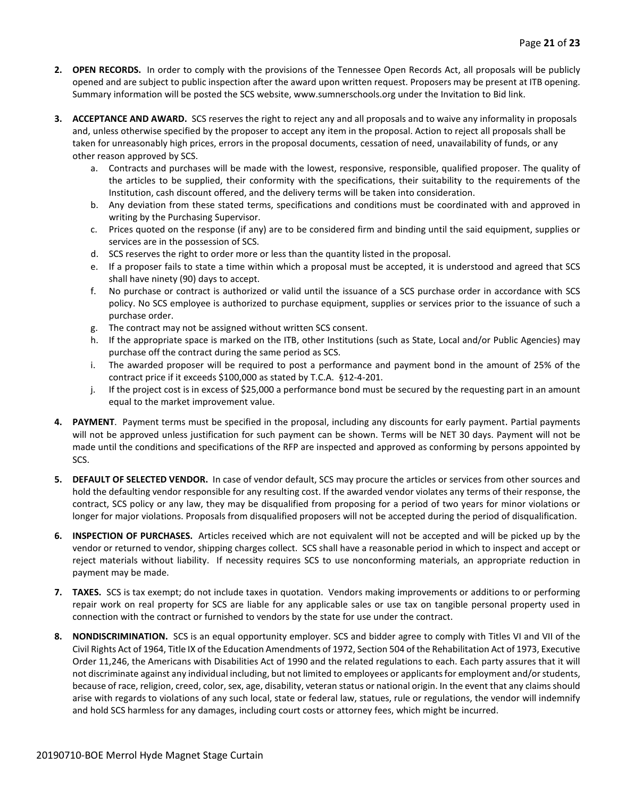- **2. OPEN RECORDS.** In order to comply with the provisions of the Tennessee Open Records Act, all proposals will be publicly opened and are subject to public inspection after the award upon written request. Proposers may be present at ITB opening. Summary information will be posted the SCS website, www.sumnerschools.org under the Invitation to Bid link.
- **3. ACCEPTANCE AND AWARD.** SCS reserves the right to reject any and all proposals and to waive any informality in proposals and, unless otherwise specified by the proposer to accept any item in the proposal. Action to reject all proposals shall be taken for unreasonably high prices, errors in the proposal documents, cessation of need, unavailability of funds, or any other reason approved by SCS.
	- a. Contracts and purchases will be made with the lowest, responsive, responsible, qualified proposer. The quality of the articles to be supplied, their conformity with the specifications, their suitability to the requirements of the Institution, cash discount offered, and the delivery terms will be taken into consideration.
	- b. Any deviation from these stated terms, specifications and conditions must be coordinated with and approved in writing by the Purchasing Supervisor.
	- c. Prices quoted on the response (if any) are to be considered firm and binding until the said equipment, supplies or services are in the possession of SCS.
	- d. SCS reserves the right to order more or less than the quantity listed in the proposal.
	- e. If a proposer fails to state a time within which a proposal must be accepted, it is understood and agreed that SCS shall have ninety (90) days to accept.
	- f. No purchase or contract is authorized or valid until the issuance of a SCS purchase order in accordance with SCS policy. No SCS employee is authorized to purchase equipment, supplies or services prior to the issuance of such a purchase order.
	- g. The contract may not be assigned without written SCS consent.
	- h. If the appropriate space is marked on the ITB, other Institutions (such as State, Local and/or Public Agencies) may purchase off the contract during the same period as SCS.
	- i. The awarded proposer will be required to post a performance and payment bond in the amount of 25% of the contract price if it exceeds \$100,000 as stated by T.C.A. §12-4-201.
	- j. If the project cost is in excess of \$25,000 a performance bond must be secured by the requesting part in an amount equal to the market improvement value.
- **4. PAYMENT**. Payment terms must be specified in the proposal, including any discounts for early payment. Partial payments will not be approved unless justification for such payment can be shown. Terms will be NET 30 days. Payment will not be made until the conditions and specifications of the RFP are inspected and approved as conforming by persons appointed by SCS.
- **5. DEFAULT OF SELECTED VENDOR.** In case of vendor default, SCS may procure the articles or services from other sources and hold the defaulting vendor responsible for any resulting cost. If the awarded vendor violates any terms of their response, the contract, SCS policy or any law, they may be disqualified from proposing for a period of two years for minor violations or longer for major violations. Proposals from disqualified proposers will not be accepted during the period of disqualification.
- **6. INSPECTION OF PURCHASES.** Articles received which are not equivalent will not be accepted and will be picked up by the vendor or returned to vendor, shipping charges collect. SCS shall have a reasonable period in which to inspect and accept or reject materials without liability. If necessity requires SCS to use nonconforming materials, an appropriate reduction in payment may be made.
- **7. TAXES.** SCS is tax exempt; do not include taxes in quotation. Vendors making improvements or additions to or performing repair work on real property for SCS are liable for any applicable sales or use tax on tangible personal property used in connection with the contract or furnished to vendors by the state for use under the contract.
- **8. NONDISCRIMINATION.** SCS is an equal opportunity employer. SCS and bidder agree to comply with Titles VI and VII of the Civil Rights Act of 1964, Title IX of the Education Amendments of 1972, Section 504 of the Rehabilitation Act of 1973, Executive Order 11,246, the Americans with Disabilities Act of 1990 and the related regulations to each. Each party assures that it will not discriminate against any individual including, but not limited to employees or applicants for employment and/or students, because of race, religion, creed, color, sex, age, disability, veteran status or national origin. In the event that any claims should arise with regards to violations of any such local, state or federal law, statues, rule or regulations, the vendor will indemnify and hold SCS harmless for any damages, including court costs or attorney fees, which might be incurred.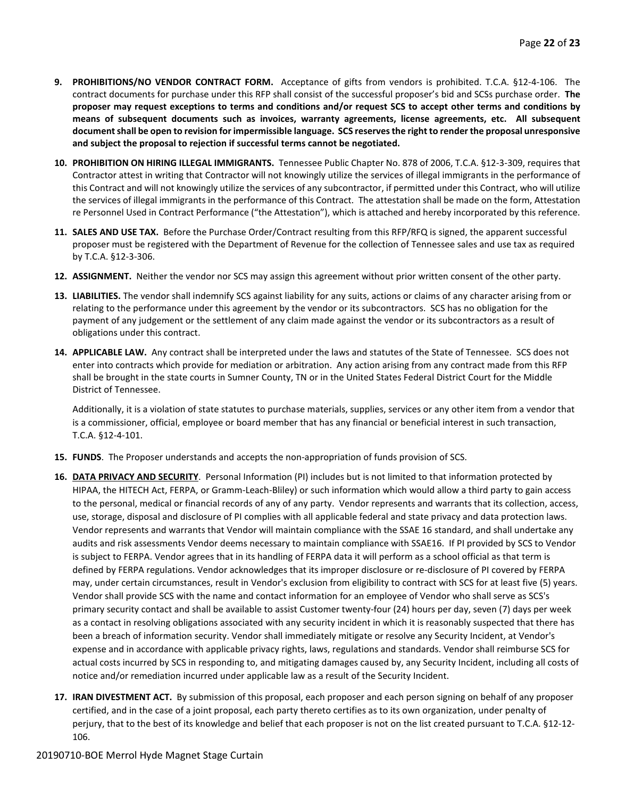- **9. PROHIBITIONS/NO VENDOR CONTRACT FORM.** Acceptance of gifts from vendors is prohibited. T.C.A. §12-4-106. The contract documents for purchase under this RFP shall consist of the successful proposer's bid and SCSs purchase order. **The proposer may request exceptions to terms and conditions and/or request SCS to accept other terms and conditions by means of subsequent documents such as invoices, warranty agreements, license agreements, etc. All subsequent document shall be open to revision for impermissible language. SCS reserves the right to render the proposal unresponsive and subject the proposal to rejection if successful terms cannot be negotiated.**
- **10. PROHIBITION ON HIRING ILLEGAL IMMIGRANTS.** Tennessee Public Chapter No. 878 of 2006, T.C.A. §12-3-309, requires that Contractor attest in writing that Contractor will not knowingly utilize the services of illegal immigrants in the performance of this Contract and will not knowingly utilize the services of any subcontractor, if permitted under this Contract, who will utilize the services of illegal immigrants in the performance of this Contract. The attestation shall be made on the form, Attestation re Personnel Used in Contract Performance ("the Attestation"), which is attached and hereby incorporated by this reference.
- **11. SALES AND USE TAX.** Before the Purchase Order/Contract resulting from this RFP/RFQ is signed, the apparent successful proposer must be registered with the Department of Revenue for the collection of Tennessee sales and use tax as required by T.C.A. §12-3-306.
- **12. ASSIGNMENT.** Neither the vendor nor SCS may assign this agreement without prior written consent of the other party.
- **13. LIABILITIES.** The vendor shall indemnify SCS against liability for any suits, actions or claims of any character arising from or relating to the performance under this agreement by the vendor or its subcontractors. SCS has no obligation for the payment of any judgement or the settlement of any claim made against the vendor or its subcontractors as a result of obligations under this contract.
- **14. APPLICABLE LAW.** Any contract shall be interpreted under the laws and statutes of the State of Tennessee. SCS does not enter into contracts which provide for mediation or arbitration. Any action arising from any contract made from this RFP shall be brought in the state courts in Sumner County, TN or in the United States Federal District Court for the Middle District of Tennessee.

Additionally, it is a violation of state statutes to purchase materials, supplies, services or any other item from a vendor that is a commissioner, official, employee or board member that has any financial or beneficial interest in such transaction, T.C.A. §12-4-101.

- **15. FUNDS**. The Proposer understands and accepts the non-appropriation of funds provision of SCS.
- **16. DATA PRIVACY AND SECURITY**. Personal Information (PI) includes but is not limited to that information protected by HIPAA, the HITECH Act, FERPA, or Gramm-Leach-Bliley) or such information which would allow a third party to gain access to the personal, medical or financial records of any of any party. Vendor represents and warrants that its collection, access, use, storage, disposal and disclosure of PI complies with all applicable federal and state privacy and data protection laws. Vendor represents and warrants that Vendor will maintain compliance with the SSAE 16 standard, and shall undertake any audits and risk assessments Vendor deems necessary to maintain compliance with SSAE16. If PI provided by SCS to Vendor is subject to FERPA. Vendor agrees that in its handling of FERPA data it will perform as a school official as that term is defined by FERPA regulations. Vendor acknowledges that its improper disclosure or re-disclosure of PI covered by FERPA may, under certain circumstances, result in Vendor's exclusion from eligibility to contract with SCS for at least five (5) years. Vendor shall provide SCS with the name and contact information for an employee of Vendor who shall serve as SCS's primary security contact and shall be available to assist Customer twenty-four (24) hours per day, seven (7) days per week as a contact in resolving obligations associated with any security incident in which it is reasonably suspected that there has been a breach of information security. Vendor shall immediately mitigate or resolve any Security Incident, at Vendor's expense and in accordance with applicable privacy rights, laws, regulations and standards. Vendor shall reimburse SCS for actual costs incurred by SCS in responding to, and mitigating damages caused by, any Security Incident, including all costs of notice and/or remediation incurred under applicable law as a result of the Security Incident.
- **17. IRAN DIVESTMENT ACT.** By submission of this proposal, each proposer and each person signing on behalf of any proposer certified, and in the case of a joint proposal, each party thereto certifies as to its own organization, under penalty of perjury, that to the best of its knowledge and belief that each proposer is not on the list created pursuant to T.C.A. §12-12- 106.

#### 20190710-BOE Merrol Hyde Magnet Stage Curtain